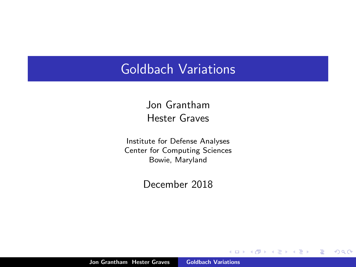#### Goldbach Variations

Jon Grantham Hester Graves

Institute for Defense Analyses Center for Computing Sciences Bowie, Maryland

December 2018

a mills.

+ n →

重

€

<span id="page-0-0"></span> $2Q$ 

Jon Grantham Hester Graves [Goldbach Variations](#page-24-0)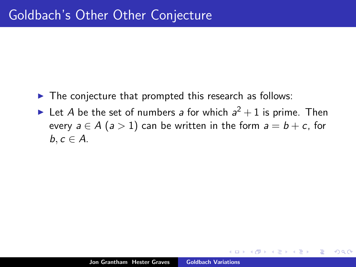- $\blacktriangleright$  The conjecture that prompted this research as follows:
- In Let A be the set of numbers a for which  $a^2 + 1$  is prime. Then every  $a \in A$  ( $a > 1$ ) can be written in the form  $a = b + c$ , for  $b, c \in A$ .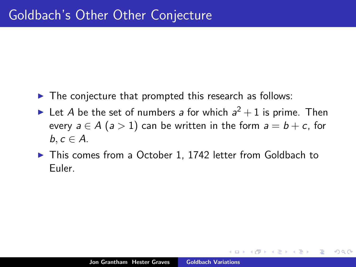- $\blacktriangleright$  The conjecture that prompted this research as follows:
- In Let A be the set of numbers a for which  $a^2 + 1$  is prime. Then every  $a \in A$  ( $a > 1$ ) can be written in the form  $a = b + c$ , for  $b, c \in A$ .
- ▶ This comes from a October 1, 1742 letter from Goldbach to Euler.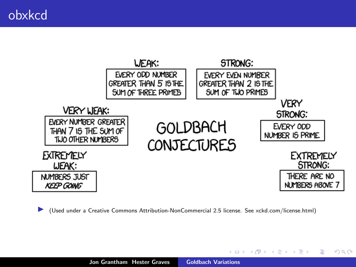

I (Used under a Creative Commons Attribution-NonCommercial 2.5 license. See xckd.com/license.html)

K ロ ⊁ K 倒 ≯ K ミ ⊁ K ミ ≯

 $2Q$ 

扂

Jon Grantham Hester Graves [Goldbach Variations](#page-0-0)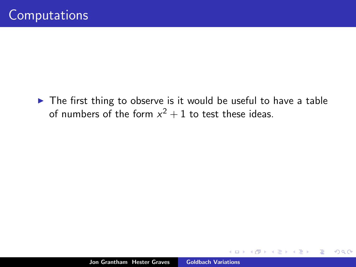$\blacktriangleright$  The first thing to observe is it would be useful to have a table of numbers of the form  $x^2 + 1$  to test these ideas.

 $\leftarrow$   $\Box$ 

A.

 $2Q$ 

扂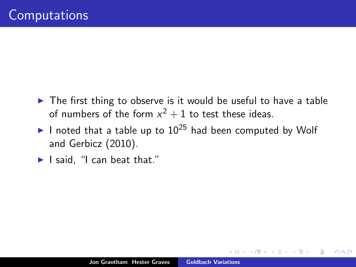- $\triangleright$  The first thing to observe is it would be useful to have a table of numbers of the form  $x^2 + 1$  to test these ideas.
- I noted that a table up to  $10^{25}$  had been computed by Wolf and Gerbicz (2010).
- $\blacktriangleright$  I said. "I can beat that."

 $\Omega$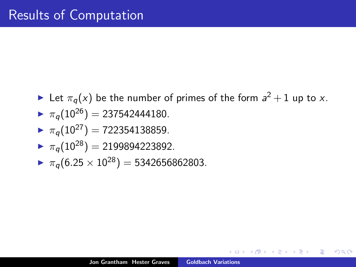- $\blacktriangleright$  Let  $\pi_q(x)$  be the number of primes of the form  $a^2 + 1$  up to x.
- $\triangleright \pi_a(10^{26}) = 237542444180.$
- $\blacksquare$   $\pi_a(10^{27})$  = 722354138859.
- $\blacktriangleright \pi_a(10^{28}) = 2199894223892.$
- $\triangleright \pi_a(6.25 \times 10^{28}) = 5342656862803.$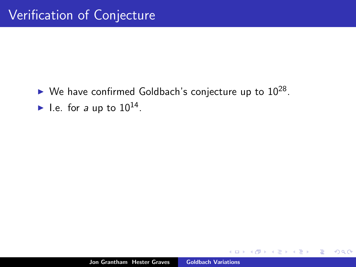$\blacktriangleright$  We have confirmed Goldbach's conjecture up to  $10^{28}$ . I.e. for a up to  $10^{14}$ .

 $\leftarrow$   $\Box$ 

A

 $2Q$ 

扂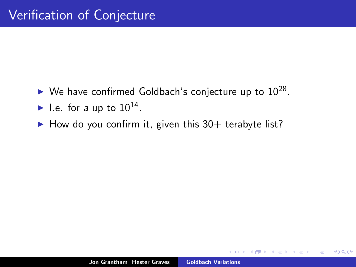- $\blacktriangleright$  We have confirmed Goldbach's conjecture up to  $10^{28}$ .
- I.e. for a up to  $10^{14}$ .
- $\blacktriangleright$  How do you confirm it, given this 30+ terabyte list?

 $2Q$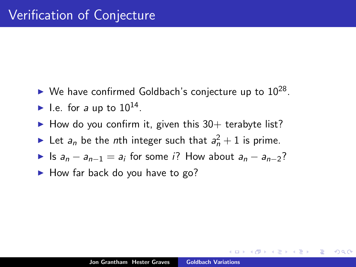- $\blacktriangleright$  We have confirmed Goldbach's conjecture up to  $10^{28}$ .
- I.e. for a up to  $10^{14}$ .
- $\blacktriangleright$  How do you confirm it, given this 30+ terabyte list?
- In Let  $a_n$  be the *n*th integer such that  $a_n^2 + 1$  is prime.
- ► Is  $a_n a_{n-1} = a_i$  for some *i*? How about  $a_n a_{n-2}$ ?
- $\blacktriangleright$  How far back do you have to go?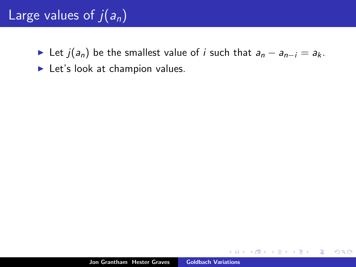### Large values of  $j(a_n)$

- ► Let  $j(a_n)$  be the smallest value of *i* such that  $a_n a_{n-i} = a_k$ .
- $\blacktriangleright$  Let's look at champion values.

 $\leftarrow$   $\Box$ 

 $\Box$ 

 $2Q$ 

扂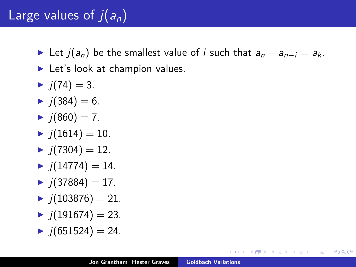### Large values of  $\overline{j}(a_n)$

- ► Let  $j(a_n)$  be the smallest value of i such that  $a_n a_{n-i} = a_k$ .
- $\blacktriangleright$  Let's look at champion values.
- $\blacktriangleright$  j(74) = 3.
- $\blacktriangleright$  j(384) = 6.
- $\blacktriangleright$  j(860) = 7.
- $\blacktriangleright$  j(1614) = 10.
- $\blacktriangleright$  j(7304) = 12.
- $\blacktriangleright$  j(14774) = 14.
- $\blacktriangleright$  j(37884) = 17.
- $\blacktriangleright$   $i(103876) = 21.$
- $\blacktriangleright$  j(191674) = 23.
- $\blacktriangleright$  j(651524) = 24.

4 A D + 4 E

<span id="page-11-0"></span>つくい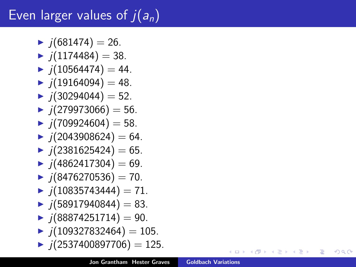# Even larger values of  $j(a_n)$

- $\blacktriangleright$  j(681474) = 26.
- $\blacktriangleright$   $i(1174484) = 38$ .
- $\blacktriangleright$  j(10564474) = 44.
- $\blacktriangleright$  j(19164094) = 48.
- $\blacktriangleright$  i(30294044) = 52.
- $\blacktriangleright$  j(279973066) = 56.
- $\blacktriangleright$  j(709924604) = 58.
- $\blacktriangleright$  j(2043908624) = 64.
- $\blacktriangleright$  j(2381625424) = 65.
- $\blacktriangleright$  j(4862417304) = 69.
- $\blacktriangleright$  j(8476270536) = 70.
- $\blacktriangleright$  j(10835743444) = 71.
- $\blacktriangleright$  j(58917940844) = 83.
- $\blacktriangleright$  j(88874251714) = 90.
- $\blacktriangleright$  j(109327832464) = 105.
- $\blacktriangleright$  j(2537400897706) = 125.

∢ ロ ▶ ( 御 ) ( を ) ( を ) (

唾

<span id="page-12-0"></span>つくい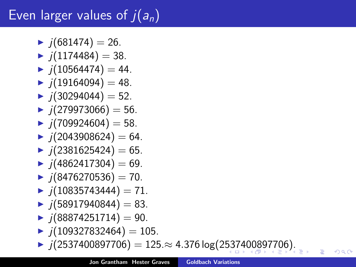# Even larger values of  $j(a_n)$

- $\blacktriangleright$  j(681474) = 26.
- $\blacktriangleright$   $i(1174484) = 38$ .
- $\blacktriangleright$  j(10564474) = 44.
- $\blacktriangleright$  j(19164094) = 48.
- $\blacktriangleright$   $i(30294044) = 52$ .
- $\blacktriangleright$  j(279973066) = 56.
- $\blacktriangleright$  j(709924604) = 58.
- $\blacktriangleright$  j(2043908624) = 64.
- $\blacktriangleright$  j(2381625424) = 65.
- $\blacktriangleright$  j(4862417304) = 69.
- $\blacktriangleright$  j(8476270536) = 70.
- $\blacktriangleright$  j(10835743444) = 71.
- $\blacktriangleright$  j(58917940844) = 83.
- $\blacktriangleright$  j(88874251714) = 90.
- $\blacktriangleright$  j(109327832464) = 105.
- <span id="page-13-0"></span> $\blacktriangleright$  j(2[53](#page-12-0)[74](#page-14-0)[0](#page-12-0)0[8](#page-13-0)[9](#page-14-0)[77](#page-0-0)[06](#page-24-0)) = 125.≈ 4.376 log(2537400897706[\).](#page-0-0)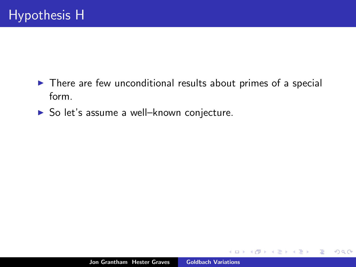- $\triangleright$  There are few unconditional results about primes of a special form.
- ▶ So let's assume a well-known conjecture.

 $\leftarrow$   $\Box$ 

高

重

<span id="page-14-0"></span> $2Q$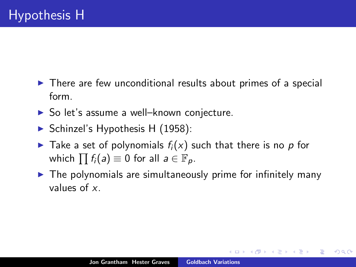- $\triangleright$  There are few unconditional results about primes of a special form.
- $\triangleright$  So let's assume a well–known conjecture.
- $\triangleright$  Schinzel's Hypothesis H (1958):
- $\blacktriangleright$  Take a set of polynomials  $f_i(x)$  such that there is no p for which  $\prod f_i(a) \equiv 0$  for all  $a \in \mathbb{F}_p$ .
- $\triangleright$  The polynomials are simultaneously prime for infinitely many values of x.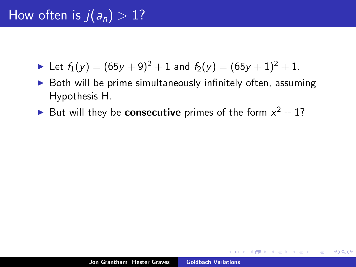- In Let  $f_1(y) = (65y + 9)^2 + 1$  and  $f_2(y) = (65y + 1)^2 + 1$ .
- $\triangleright$  Both will be prime simultaneously infinitely often, assuming Hypothesis H.
- But will they be **consecutive** primes of the form  $x^2 + 1$ ?

 $\Omega$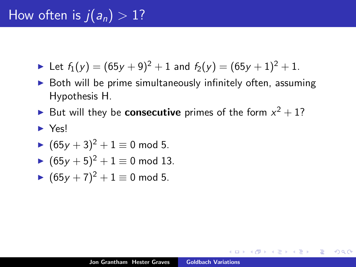- In Let  $f_1(y) = (65y + 9)^2 + 1$  and  $f_2(y) = (65y + 1)^2 + 1$ .
- $\triangleright$  Both will be prime simultaneously infinitely often, assuming Hypothesis H.
- But will they be **consecutive** primes of the form  $x^2 + 1$ ?
- <sup>I</sup> Yes!
- $(65y + 3)^2 + 1 \equiv 0 \mod 5$ .
- $\blacktriangleright$   $(65y + 5)^2 + 1 \equiv 0 \mod 13$ .
- $\blacktriangleright$  (65y + 7)<sup>2</sup> + 1 ≡ 0 mod 5.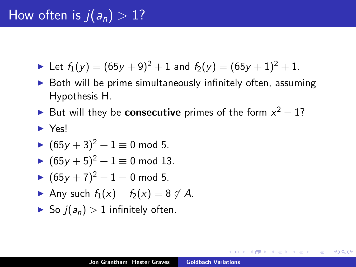- In Let  $f_1(y) = (65y + 9)^2 + 1$  and  $f_2(y) = (65y + 1)^2 + 1$ .
- $\triangleright$  Both will be prime simultaneously infinitely often, assuming Hypothesis H.
- But will they be **consecutive** primes of the form  $x^2 + 1$ ?
- <sup>I</sup> Yes!
- $(65y + 3)^2 + 1 \equiv 0 \mod 5$ .
- $\blacktriangleright$   $(65y + 5)^2 + 1 \equiv 0 \mod 13$ .
- $\blacktriangleright$  (65y + 7)<sup>2</sup> + 1 ≡ 0 mod 5.
- Any such  $f_1(x) f_2(x) = 8 \notin A$ .
- $\triangleright$  So  $i(a_n) > 1$  infinitely often.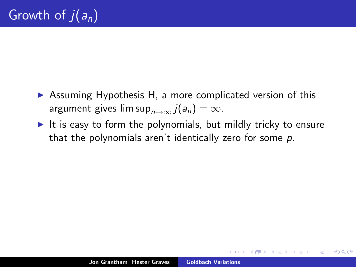- $\triangleright$  Assuming Hypothesis H, a more complicated version of this argument gives lim sup $_{n\rightarrow\infty}$   $j(a_n) = \infty$ .
- It is easy to form the polynomials, but mildly tricky to ensure that the polynomials aren't identically zero for some p.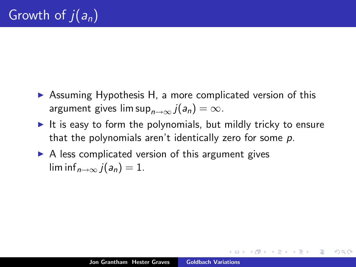- $\triangleright$  Assuming Hypothesis H, a more complicated version of this argument gives lim sup $_{n\rightarrow\infty}$   $j(a_n) = \infty$ .
- It is easy to form the polynomials, but mildly tricky to ensure that the polynomials aren't identically zero for some  $p$ .
- $\triangleright$  A less complicated version of this argument gives  $\liminf_{n\to\infty}$   $i(a_n)=1$ .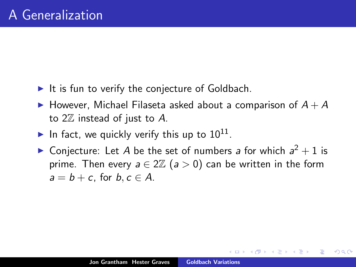- $\blacktriangleright$  It is fun to verify the conjecture of Goldbach.
- $\blacktriangleright$  However, Michael Filaseta asked about a comparison of  $A + A$ to  $2\mathbb{Z}$  instead of just to A.
- In fact, we quickly verify this up to  $10^{11}$ .
- ▶ Conjecture: Let A be the set of numbers a for which  $a^2 + 1$  is prime. Then every  $a \in 2\mathbb{Z}$  ( $a > 0$ ) can be written in the form  $a = b + c$ , for  $b, c \in A$ .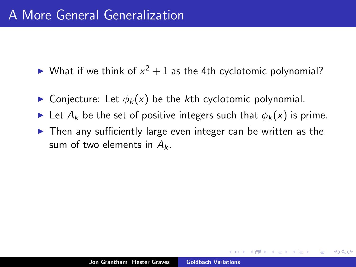- $\blacktriangleright$  What if we think of  $x^2 + 1$  as the 4th cyclotomic polynomial?
- **In Conjecture:** Let  $\phi_k(x)$  be the kth cyclotomic polynomial.
- In Let  $A_k$  be the set of positive integers such that  $\phi_k(x)$  is prime.
- $\triangleright$  Then any sufficiently large even integer can be written as the sum of two elements in  $A_k$ .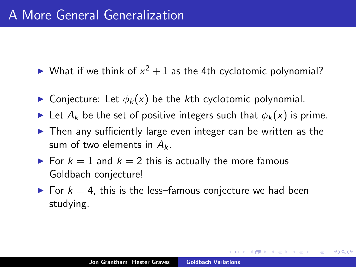- $\blacktriangleright$  What if we think of  $x^2 + 1$  as the 4th cyclotomic polynomial?
- **In** Conjecture: Let  $\phi_k(x)$  be the kth cyclotomic polynomial.
- In Let  $A_k$  be the set of positive integers such that  $\phi_k(x)$  is prime.
- $\triangleright$  Then any sufficiently large even integer can be written as the sum of two elements in  $A_k$ .
- For  $k = 1$  and  $k = 2$  this is actually the more famous Goldbach conjecture!
- $\triangleright$  For  $k = 4$ , this is the less–famous conjecture we had been studying.